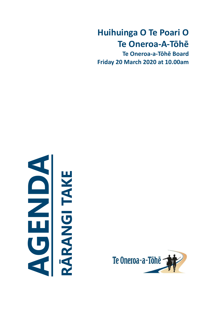# **Huihuinga O Te Poari O Te Oneroa-A-Tōhē**

**Te Oneroa-a-Tōhē Board Friday 20 March 2020 at 10.00am**



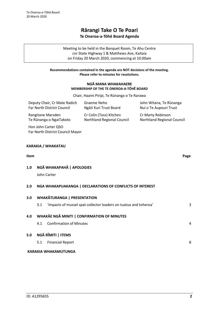# **Rārangi Take O Te Poari Te Oneroa-a-Tōhē Board Agenda**

Meeting to be held in the Banquet Room, Te Ahu Centre cnr State Highway 1 & Matthews Ave, Kaitaia on Friday 20 March 2020, commencing at 10.00am

#### **Recommendations contained in the agenda are NOT decisions of the meeting. Please refer to minutes for resolutions.**

#### **NGĀ MANA WHAKAHAERE MEMBERSHIP OF THE TE ONEROA-A-TŌHĒ BOARD**

Chair, Haami Piripi, Te Rūnanga o Te Rarawa

| Deputy Chair, Cr Mate Radich<br>Far North District Council | Graeme Neho<br>Ngāti Kuri Trust Board                            | John Witana, Te Rūnanga<br>Nui o Te Aupouri Trust |  |  |  |  |  |  |  |  |
|------------------------------------------------------------|------------------------------------------------------------------|---------------------------------------------------|--|--|--|--|--|--|--|--|
| Rangitane Marsden<br>Te Rūnanga o NgaiTakoto               | Cr Colin (Toss) Kitchen<br>Northland Regional Council            | Cr Marty Robinson<br>Northland Regional Council   |  |  |  |  |  |  |  |  |
| Hon John Carter QSO<br>Far North District Council Mayor    |                                                                  |                                                   |  |  |  |  |  |  |  |  |
| KARAKIA / WHAKATAU                                         |                                                                  |                                                   |  |  |  |  |  |  |  |  |
| Item                                                       |                                                                  | Page                                              |  |  |  |  |  |  |  |  |
| 1.0                                                        | NGĀ WHAKAPAHĀ   APOLOGIES                                        |                                                   |  |  |  |  |  |  |  |  |
| John Carter                                                |                                                                  |                                                   |  |  |  |  |  |  |  |  |
| 2.0                                                        | NGA WHAKAPUAKANGA   DECLARATIONS OF CONFLICTS OF INTEREST        |                                                   |  |  |  |  |  |  |  |  |
| <b>WHAKĀTURANGA   PRESENTATION</b><br>3.0                  |                                                                  |                                                   |  |  |  |  |  |  |  |  |
| 3.1                                                        | 'Impacts of mussel spat collector loaders on tuatua and toheroa' | 3                                                 |  |  |  |  |  |  |  |  |
| 4.0                                                        | <b>WHAKĀE NGĀ MINITI   CONFIRMATION OF MINUTES</b>               |                                                   |  |  |  |  |  |  |  |  |

4.1 Confirmation of Minutes [4](#page-3-0)

## **5.0 NGĀ RĪMITI | ITEMS**

5.1 Financial Report [8](#page-7-0)

## **KARAKIA WHAKAMUTUNGA**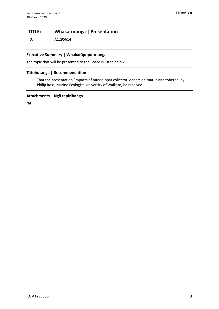# **TITLE: Whakāturanga | Presentation**

**ID:** A1295614

#### **Executive Summary | Whakarāpopototanga**

The topic that will be presented to the Board is listed below.

#### **Tūtohutanga | Recommendation**

That the presentation 'Impacts of mussel spat collector loaders on tuatua and toheroa' by Philip Ross, Marine Ecologist, University of Waikato, be received.

#### **Attachments | Ngā tapirihanga**

Nil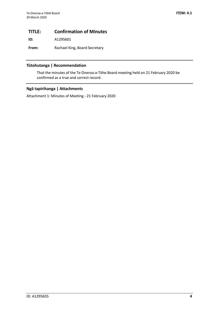# <span id="page-3-0"></span>**TITLE: Confirmation of Minutes**

**ID:** A1295601

**From:** Rachael King, Board Secretary

# **Tūtohutanga | Recommendation**

That the minutes of the Te Oneroa-a-Tōhe Board meeting held on 21 February 2020 be confirmed as a true and correct record.

## **Ngā tapirihanga | Attachments**

Attachment 1: Minutes of Meeting - 21 February 2020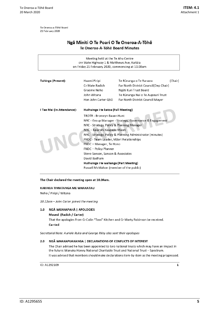Te Oneroa-a-Tōhē Board 21 February 2020

# Ngā Miniti O Te Poari O Te Oneroa-A-Tōhē Te Oneroa-A-Tōhē Board Minutes

| Meeting held at the Te Ahu Centre<br>cnr State Highway 1 & Matthews Ave, Kaitāja<br>on Friday 21 February 2020, commencing at 10.00am |                                                                                                                                                                                                                                                                                                                                                                                                                                                                               |                                                                                                                                                                    |         |  |  |  |  |  |  |
|---------------------------------------------------------------------------------------------------------------------------------------|-------------------------------------------------------------------------------------------------------------------------------------------------------------------------------------------------------------------------------------------------------------------------------------------------------------------------------------------------------------------------------------------------------------------------------------------------------------------------------|--------------------------------------------------------------------------------------------------------------------------------------------------------------------|---------|--|--|--|--|--|--|
| Tuhinga (Present):                                                                                                                    | Haami Piripi<br>Cr Mate Radich<br>Graeme Neho<br>John Witana<br>Hon John Carter QSO                                                                                                                                                                                                                                                                                                                                                                                           | Te Rūnanga o Te Rarawa<br>Far North District Council(Dep Chair)<br>Ngāti Kuri Trust Board<br>Te Rünanga Nui o Te Aupouri Trust<br>Far North District Council Mayor | (Chair) |  |  |  |  |  |  |
| I Tae Mai (In Attendance):<br>Huihuinga i te katoa (Full Meeting)                                                                     |                                                                                                                                                                                                                                                                                                                                                                                                                                                                               |                                                                                                                                                                    |         |  |  |  |  |  |  |
|                                                                                                                                       | TROTR - Bronwyn Bauer-Hunt<br>NRC - Group Manager - Strategy, Governance & Engagement<br>NRC - Strategy, Policy & Planning Manager<br>NRC - Kaiārahi Kaupapa Māori<br>NRC - Strategy, Policy & Planning Administrator (minutes)<br>FNDC - Team Leader, Māori Relationships<br>FNDC - Manager, Te Hono<br><b>FNDC</b> - Policy Planner<br>Steve Sanson, Sanson & Associates<br>David Badham<br>Huihuinga i te wahanga (Part Meeting)<br>Russell McMahon (member of the public) |                                                                                                                                                                    |         |  |  |  |  |  |  |

#### The Chair declared the meeting open at 10.04am.

#### KARAKIA TIMATANGA ME WHAKATAU

Neho / Piripi / Witana

10.12am - John Carter joined the meeting

#### 1.0 NGĀ WKAHAPAHĀ | APOLOGIES

Moved (Radich / Carter)

That the apologies from Cr Colin "Toss" Kitchen and Cr Marty Robinson be received. Carried

Secretarial Note: Auriole Ruka and George Riley also sent their apologies

#### 2.0 NGĀ WHAKAPUAKANGA | DECLARATIONS OF CONFLICTS OF INTEREST

The Chair advised he has been appointed to two national trusts which may have an impact in the future: Manuka Honey National Charitable Trust and National Trust - Spectrum. It was advised that members should make declarations item-by-item as the meeting progressed.

ID: A1292109

 $\mathbf 1$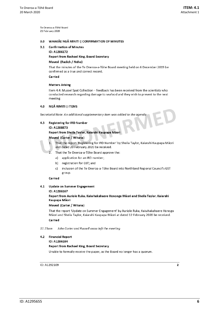Te Oneroa-a-Tōhē Board 21 February 2020

#### WHAKĀE NGĀ MINITI | CONFIRMATION OF MINUTES  $3.0$

#### **Confirmation of Minutes**  $3.1$

ID: A1286172

Report from Rachael King, Board Secretary

#### Moved (Radich / Neho)

That the minutes of the Te Oneroa-a-Tōhe Board meeting held on 6 December 2019 be confirmed as a true and correct record.

Carried

#### **Matters Arising**

Item 4.4: Mussel Spat Collection - feedback has been received from the scientists who conducted research regarding damage to seafood and they wish to present to the next meeting

#### NGĀ RIMITI | ITEMS  $4.0$

Secretarial Note: An additional supplementary item was added to the agenda

#### $4.3$ **Registering for IRD Number**

#### ID: A1288873

Report from Sheila Taylor, Kaiarahi Kaupapa Māori

#### Moved (Carter / Witana)

- That the report 'Registering for IRD Number' by Sheila Taylor, Kaiarahi Kaupapa Māori  $\mathbf{1}$ . and dated 20 February 2020 be received.
- $\overline{2}$ That the Te Oneroa-a-Tōhe Board approve the:
	- a) application for an IRD number;
	- b) registration for GST; and
	- inclusion of the Te Oneroa-a-Tōhe Board into Northland Regional Council's GST c) group.

#### Carried

#### $4.1$ **Update on Summer Engagement**

#### ID: A1286167

#### Report from Auriole Ruka, Kaiwhakahaere Hononga Māori and Sheila Taylor, Kaiarahi Kaupapa Māori

#### Moved (Carter / Witana)

That the report 'Update on Summer Engagement' by Auriole Ruka, Kaiwhakahaere Honoga Māori and Sheila Taylor, Kaiarahi Kaupapa Māori at dated 12 February 2020 be received.

#### Carried

#### 11.15am John Carter and Russell xxxxx left the meeting

#### $4.2$ **Financial Report**

#### ID: A1286184

#### Report from Rachael King, Board Secretary

Unable to formally receive the paper, as the Board no longer has a quorum.

#### ID: A1292109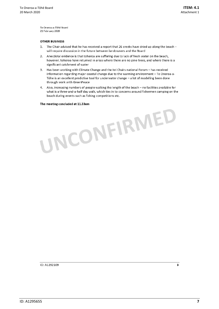Te Oneroa-a-Tōhē Board 21 February 2020

#### **OTHER BUSINESS**

- 1. The Chair advised that he has received a report that 26 creeks have dried up along the beach will require discussion in the future between landowners and the Board
- 2. Anecdotal evidence is that toheroa are suffering due to lack of fresh water on the beach, however, toheroa have returned in areas where there are no pine trees, and where there is a significant catchment of water
- Has been working with Climate Change and the Iwi Chairs national Forum has received  $3.$ information regarding major coastal change due to the warming environment - Te Oneroa-a-Tōhe is an excellent predictive tool for underwater change - a lot of modelling been done through work with GreenPeace
- 4. Also, increasing numbers of people walking the length of the beach  $-$  no facilities available for what is a three-and-a-half day walk, which ties in to concerns around fishermen camping on the beach during events such as fishing competitions etc.

# The meeting concluded at 11.33am UNCONFIRMED

ID: A1292109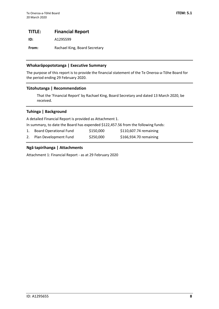# <span id="page-7-0"></span>**TITLE: Financial Report**

**ID:** A1295599

From: Rachael King, Board Secretary

## **Whakarāpopototanga | Executive Summary**

The purpose of this report is to provide the financial statement of the Te Oneroa-a-Tōhe Board for the period ending 29 February 2020.

## **Tūtohutanga | Recommendation**

That the 'Financial Report' by Rachael King, Board Secretary and dated 13 March 2020, be received.

## **Tuhinga | Background**

A detailed Financial Report is provided as Attachment 1.

In summary, to date the Board has expended \$122,457.56 from the following funds:

| 1. Board Operational Fund | \$150,000 | \$110,607.74 remaining |
|---------------------------|-----------|------------------------|
| 2. Plan Development Fund  | \$250,000 | \$166,934.70 remaining |

## **Ngā tapirihanga | Attachments**

Attachment 1: Financial Report - as at 29 February 2020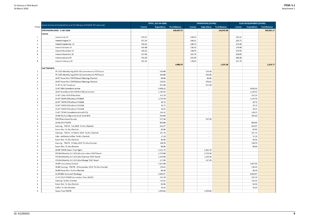|        |                                                                                               | TOTAL (A/c 00-6259) |                    |                     | <b>OPERATIONS (CC4701)</b> |                          |                     |  |
|--------|-----------------------------------------------------------------------------------------------|---------------------|--------------------|---------------------|----------------------------|--------------------------|---------------------|--|
| Period | Actual Income and Expenditure as at 29 February 2020 (NZ\$ GST exclusive)                     | Income              | <b>Expenditure</b> | <b>Fund Balance</b> | Income                     | <b>Expenditure</b>       | <b>Fund Balance</b> |  |
|        | OPENING BALANCE - 1 JULY 2019                                                                 |                     |                    | 329,427.07          |                            |                          | 120,843.90          |  |
|        | Income                                                                                        |                     |                    |                     |                            |                          |                     |  |
| 1      | Interest July 19                                                                              | 459.67              |                    |                     | 169.35                     |                          |                     |  |
| 2      | Interest August 19                                                                            | 457.33              |                    |                     | 166.61                     |                          |                     |  |
| 3      | Interest September 19                                                                         | 440.24              |                    |                     | 160.76                     |                          |                     |  |
|        | Interest October 19                                                                           | 436.80              |                    |                     | 158.33                     |                          |                     |  |
| 5      | Interest November 19                                                                          | 425.52              |                    |                     | 150.76                     |                          |                     |  |
| 6      | Interest December 19                                                                          | 417.56              |                    |                     | 154.72                     |                          |                     |  |
|        | Interest January 20                                                                           | 441.32              |                    |                     | 154.94                     |                          |                     |  |
| 8      | Interest February 20                                                                          | 401.62              |                    |                     | 139.83                     |                          |                     |  |
|        |                                                                                               |                     |                    | 3,480.05            |                            |                          | 1,255.28            |  |
|        | <b>Less Payments</b>                                                                          |                     |                    |                     |                            |                          |                     |  |
| 2      | PR 1255 Monthly Aug 2019 Jilla Commitments TOT board                                          |                     | 550.00             |                     |                            | 550.00                   |                     |  |
| 2      | PR 1255 Monthly Aug 2019 Jilla Commitments TOT board                                          |                     | 360.00             |                     |                            | 360.00                   |                     |  |
| 2      | 19-07 Room Hire TOATB Board Meetings Charitab                                                 |                     | 86.96              |                     |                            | 86.96                    |                     |  |
| 2      | 19-07 Room Hire TOATB Board Meetings Charitab                                                 |                     | 176.54             |                     |                            | 176.54                   |                     |  |
| 2      | 31-07 Air NZ Travelcard                                                                       |                     | 952.00             |                     |                            | 952.00                   |                     |  |
| 2      | 31-07 B&A Consultant service                                                                  |                     | 4,608.22           |                     |                            |                          |                     |  |
|        | 18-07 BrandStand NZ TOATB 2 Pull up banners                                                   |                     | 1,189.55           |                     |                            |                          |                     |  |
| 1      | 11-07 CaldersTOATB Booklets                                                                   |                     | 225.29             |                     |                            |                          |                     |  |
| 2      | 04-07 TOATB OfficeMax17678829                                                                 |                     | 1,176.70           |                     |                            | $\overline{\phantom{a}}$ |                     |  |
| 2      | 22-07 TOATB OfficeMax17742268                                                                 |                     | 30.72              |                     |                            | $\overline{\phantom{a}}$ |                     |  |
| 2      | 22-07 TOATB OfficeMax17742268                                                                 |                     | 30.72              |                     |                            |                          |                     |  |
| 2      | 22-07 TOATB OfficeMax17742268                                                                 |                     | 38.45              |                     |                            | $\overline{\phantom{a}}$ |                     |  |
| 2      | 31-07 TOTAB Consultation (Inv # 0732)                                                         |                     | 104.35             |                     |                            | $\overline{\phantom{a}}$ |                     |  |
| 2      | 20-08 Houhora Big Game food (Inv# 409)                                                        |                     | 300.00             |                     |                            |                          |                     |  |
| 3      | <b>TOATB Northland Rentals</b>                                                                |                     | 517.30             |                     |                            | 517.30                   |                     |  |
| 3      | 26.08.2019 TOATB                                                                              |                     | 850.00             |                     |                            |                          |                     |  |
| 3      | Catering - TOATB - Feb 2019 Te Ahu Charitab                                                   |                     | 214.37             |                     |                            | $\overline{\phantom{a}}$ |                     |  |
| 3      | Room Hire Te Ahu Charitab                                                                     |                     | 86.96              |                     |                            | ٠                        |                     |  |
| 3      | Catering - TOATB - 22 March 2019 Te Ahu Charitab                                              |                     | 201.76             |                     |                            |                          |                     |  |
| 3      | Cafe - additional coffee Te Ahu Charitab                                                      |                     | 31.28              |                     |                            | $\overline{a}$           |                     |  |
| 3      | Room Hire Te Ahu Charitab                                                                     |                     | 86.96              |                     |                            | $\overline{\phantom{a}}$ |                     |  |
| 3      | Catering - TOATB - 24 May 2019 Te Ahu Charitab                                                |                     | 108.70             |                     |                            | $\overline{\phantom{a}}$ |                     |  |
| 3      | Room Hire Te Ahu Charitab                                                                     |                     | 86.96              |                     |                            | $\overline{\phantom{a}}$ |                     |  |
| Δ      | 30-09 TOATB Haami Pripi flights                                                               |                     | 1,111.73           |                     |                            | 1,111.73                 |                     |  |
|        | PR1264 Monthly Oct 2019 jilla Committee TOAT Board                                            |                     | 2,750.00           |                     |                            | 2,750.00                 |                     |  |
|        | PR1264 Monthly Oct 2019 jilla Chairman TOAT Board                                             |                     | 1,440.00           |                     |                            | 1,440.00                 |                     |  |
|        |                                                                                               |                     | 417.09             |                     |                            | 417.09                   |                     |  |
|        | PR1264 Monthly Oct 2019 jilla Mileage TOAT Board<br>30-09 Consultancy Services                |                     | 7,427.00           |                     |                            | $\overline{\phantom{a}}$ |                     |  |
|        |                                                                                               |                     |                    |                     |                            |                          |                     |  |
|        | 30-09 Catering - TOATB - 20 September 2019 Te Ahu Charitab<br>30-09 Room Hire Te Ahu Charitab |                     | 130.44<br>86.40    |                     |                            | $\overline{\phantom{a}}$ |                     |  |
|        |                                                                                               |                     |                    |                     |                            | $\overline{\phantom{a}}$ |                     |  |
| 5      | 31.08 B&A Consutant Recharge                                                                  |                     | 3,569.57           |                     |                            | $\overline{\phantom{a}}$ |                     |  |
| 5      | 11.07.2019 TOARB Consultation Print 282021                                                    |                     | 225.29             |                     |                            | $\overline{\phantom{a}}$ |                     |  |
| 5      | Catering Te Ahu Charitab                                                                      |                     | 130.44             |                     |                            | $\overline{\phantom{a}}$ |                     |  |
| 5      | Room Hire Te Ahu Charitab                                                                     |                     | 86.96              |                     |                            | ٠                        |                     |  |
| 5      | Coffee Te Ahu Charitab                                                                        |                     | 30.43              |                     |                            | $\overline{\phantom{a}}$ |                     |  |
| 5      | Haami Pripi TOATB                                                                             |                     | 1,059.83           |                     |                            | 1,059.83                 |                     |  |

#### **ITEM: 5.1** Attachment 1

| PLAN DEVELOPMENT (CC4702) |             |                     |  |  |  |  |  |  |  |
|---------------------------|-------------|---------------------|--|--|--|--|--|--|--|
| Income                    | Expenditure | <b>Fund Balance</b> |  |  |  |  |  |  |  |
|                           |             | 208,583.17          |  |  |  |  |  |  |  |
|                           |             |                     |  |  |  |  |  |  |  |
| 290.32                    |             |                     |  |  |  |  |  |  |  |
| 290.73                    |             |                     |  |  |  |  |  |  |  |
| 279.48                    |             |                     |  |  |  |  |  |  |  |
| 278.48                    |             |                     |  |  |  |  |  |  |  |
| 274.76                    |             |                     |  |  |  |  |  |  |  |
| 262.83                    |             |                     |  |  |  |  |  |  |  |
| 286.38                    |             |                     |  |  |  |  |  |  |  |
| 261.79                    |             |                     |  |  |  |  |  |  |  |
|                           |             | 2,224.77            |  |  |  |  |  |  |  |
|                           |             |                     |  |  |  |  |  |  |  |
|                           |             |                     |  |  |  |  |  |  |  |
|                           |             |                     |  |  |  |  |  |  |  |
|                           |             |                     |  |  |  |  |  |  |  |
|                           |             |                     |  |  |  |  |  |  |  |
|                           |             |                     |  |  |  |  |  |  |  |
|                           | 4,608.22    |                     |  |  |  |  |  |  |  |
|                           | 1,189.55    |                     |  |  |  |  |  |  |  |
|                           | 225.29      |                     |  |  |  |  |  |  |  |
|                           | 1,176.70    |                     |  |  |  |  |  |  |  |
|                           | 30.72       |                     |  |  |  |  |  |  |  |
|                           | 30.72       |                     |  |  |  |  |  |  |  |
|                           | 38.45       |                     |  |  |  |  |  |  |  |
|                           | 104.35      |                     |  |  |  |  |  |  |  |
|                           | 300.00      |                     |  |  |  |  |  |  |  |
|                           |             |                     |  |  |  |  |  |  |  |
|                           | 850.00      |                     |  |  |  |  |  |  |  |
|                           | 214.37      |                     |  |  |  |  |  |  |  |
|                           | 86.96       |                     |  |  |  |  |  |  |  |
|                           | 201.76      |                     |  |  |  |  |  |  |  |
|                           | 31.28       |                     |  |  |  |  |  |  |  |
|                           | 86.96       |                     |  |  |  |  |  |  |  |
|                           | 108.70      |                     |  |  |  |  |  |  |  |
|                           | 86.96       |                     |  |  |  |  |  |  |  |
|                           |             |                     |  |  |  |  |  |  |  |
|                           |             |                     |  |  |  |  |  |  |  |
|                           |             |                     |  |  |  |  |  |  |  |
|                           |             |                     |  |  |  |  |  |  |  |
|                           | 7,427.00    |                     |  |  |  |  |  |  |  |
|                           | 130.44      |                     |  |  |  |  |  |  |  |
|                           | 86.40       |                     |  |  |  |  |  |  |  |
|                           | 3,569.57    |                     |  |  |  |  |  |  |  |
|                           | 225.29      |                     |  |  |  |  |  |  |  |
|                           | 130.44      |                     |  |  |  |  |  |  |  |
|                           | 86.96       |                     |  |  |  |  |  |  |  |
|                           | 30.43       |                     |  |  |  |  |  |  |  |
|                           |             |                     |  |  |  |  |  |  |  |